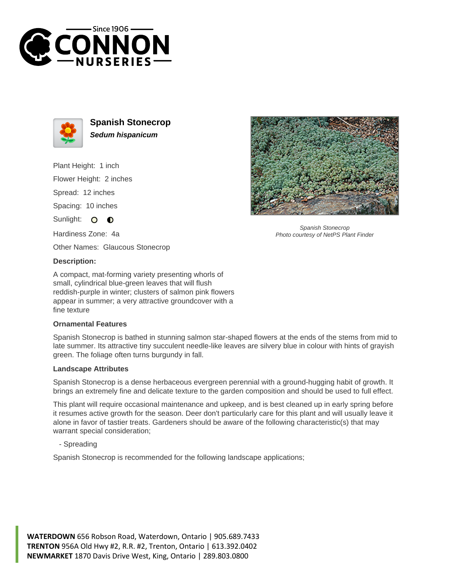



**Spanish Stonecrop Sedum hispanicum**

Plant Height: 1 inch

Flower Height: 2 inches

Spread: 12 inches

Spacing: 10 inches

Sunlight: O  $\bullet$ 

Hardiness Zone: 4a

Other Names: Glaucous Stonecrop

## **Description:**

A compact, mat-forming variety presenting whorls of small, cylindrical blue-green leaves that will flush reddish-purple in winter; clusters of salmon pink flowers appear in summer; a very attractive groundcover with a fine texture

## **Ornamental Features**

Spanish Stonecrop is bathed in stunning salmon star-shaped flowers at the ends of the stems from mid to late summer. Its attractive tiny succulent needle-like leaves are silvery blue in colour with hints of grayish green. The foliage often turns burgundy in fall.

## **Landscape Attributes**

Spanish Stonecrop is a dense herbaceous evergreen perennial with a ground-hugging habit of growth. It brings an extremely fine and delicate texture to the garden composition and should be used to full effect.

This plant will require occasional maintenance and upkeep, and is best cleaned up in early spring before it resumes active growth for the season. Deer don't particularly care for this plant and will usually leave it alone in favor of tastier treats. Gardeners should be aware of the following characteristic(s) that may warrant special consideration;

- Spreading

Spanish Stonecrop is recommended for the following landscape applications;



Spanish Stonecrop Photo courtesy of NetPS Plant Finder